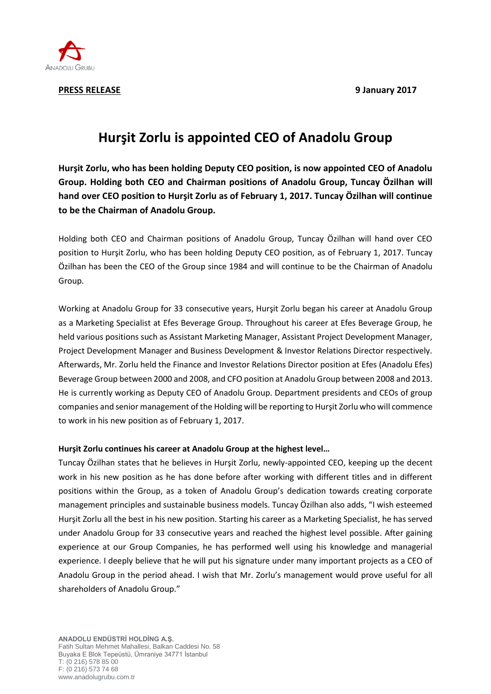

**PRESS RELEASE 9 January 2017**

## **Hurşit Zorlu is appointed CEO of Anadolu Group**

**Hurşit Zorlu, who has been holding Deputy CEO position, is now appointed CEO of Anadolu Group. Holding both CEO and Chairman positions of Anadolu Group, Tuncay Özilhan will hand over CEO position to Hurşit Zorlu as of February 1, 2017. Tuncay Özilhan will continue to be the Chairman of Anadolu Group.**

Holding both CEO and Chairman positions of Anadolu Group, Tuncay Özilhan will hand over CEO position to Hurşit Zorlu, who has been holding Deputy CEO position, as of February 1, 2017. Tuncay Özilhan has been the CEO of the Group since 1984 and will continue to be the Chairman of Anadolu Group.

Working at Anadolu Group for 33 consecutive years, Hurşit Zorlu began his career at Anadolu Group as a Marketing Specialist at Efes Beverage Group. Throughout his career at Efes Beverage Group, he held various positions such as Assistant Marketing Manager, Assistant Project Development Manager, Project Development Manager and Business Development & Investor Relations Director respectively. Afterwards, Mr. Zorlu held the Finance and Investor Relations Director position at Efes (Anadolu Efes) Beverage Group between 2000 and 2008, and CFO position at Anadolu Group between 2008 and 2013. He is currently working as Deputy CEO of Anadolu Group. Department presidents and CEOs of group companies and senior management of the Holding will be reporting to Hurşit Zorlu who will commence to work in his new position as of February 1, 2017.

## **Hurşit Zorlu continues his career at Anadolu Group at the highest level…**

Tuncay Özilhan states that he believes in Hurşit Zorlu, newly-appointed CEO, keeping up the decent work in his new position as he has done before after working with different titles and in different positions within the Group, as a token of Anadolu Group's dedication towards creating corporate management principles and sustainable business models. Tuncay Özilhan also adds, "I wish esteemed Hurşit Zorlu all the best in his new position. Starting his career as a Marketing Specialist, he has served under Anadolu Group for 33 consecutive years and reached the highest level possible. After gaining experience at our Group Companies, he has performed well using his knowledge and managerial experience. I deeply believe that he will put his signature under many important projects as a CEO of Anadolu Group in the period ahead. I wish that Mr. Zorlu's management would prove useful for all shareholders of Anadolu Group."